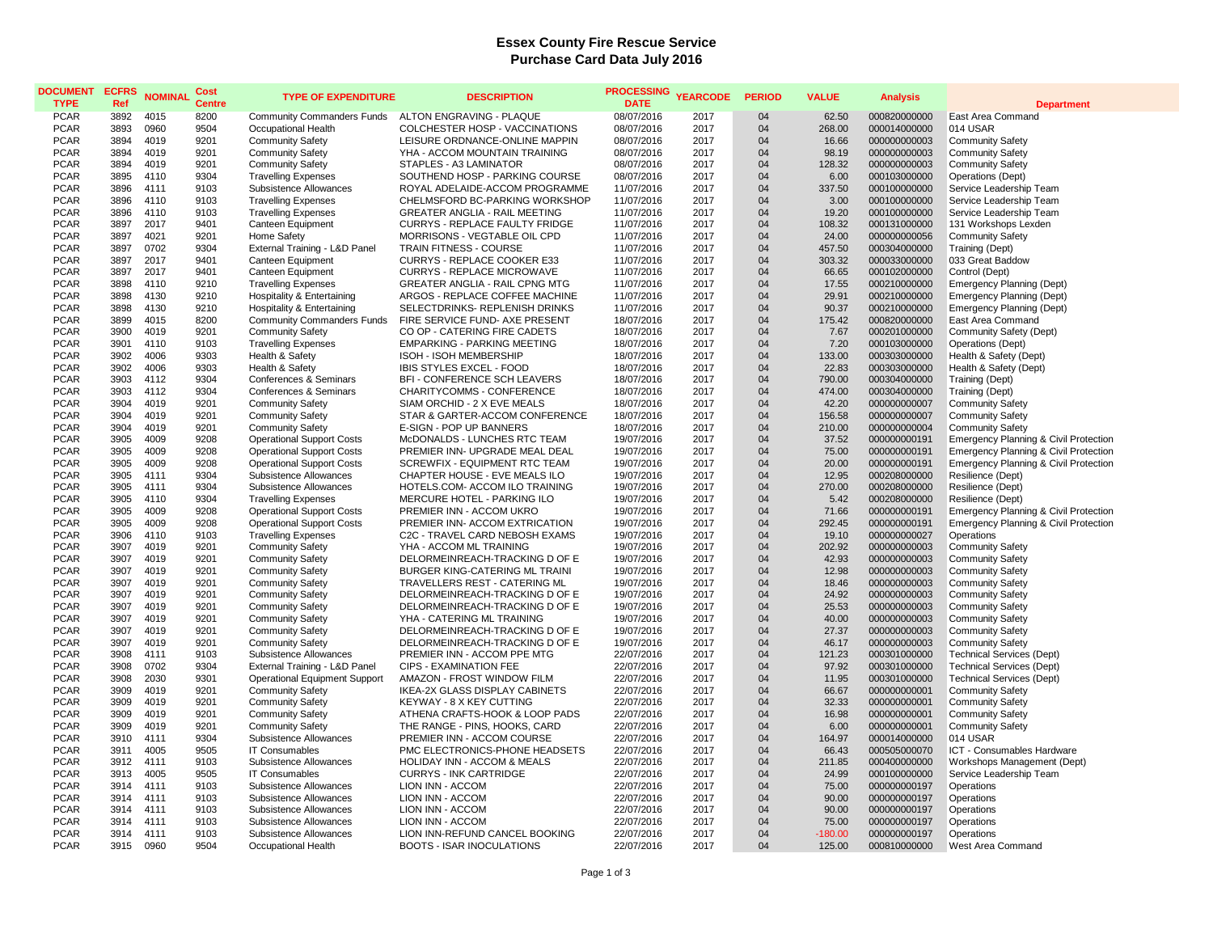## **Essex County Fire Rescue Service Purchase Card Data July 2016**

| <b>DOCUMENT</b><br><b>TYPE</b> | <b>ECFRS</b><br>Ref | <b>NOMINAL</b> | <b>Cost</b><br><b>Centre</b> | <b>TYPE OF EXPENDITURE</b>                                            | <b>DESCRIPTION</b>                                       | <b>PROCESSING</b><br><b>DATE</b> | <b>YEARCODE</b> | <b>PERIOD</b> | <b>VALUE</b>    | <b>Analysis</b>              | <b>Department</b>                                                    |
|--------------------------------|---------------------|----------------|------------------------------|-----------------------------------------------------------------------|----------------------------------------------------------|----------------------------------|-----------------|---------------|-----------------|------------------------------|----------------------------------------------------------------------|
| <b>PCAR</b>                    | 3892                | 4015           | 8200                         | <b>Community Commanders Funds</b>                                     | ALTON ENGRAVING - PLAQUE                                 | 08/07/2016                       | 2017            | 04            | 62.50           | 000820000000                 | East Area Command                                                    |
| <b>PCAR</b>                    | 3893                | 0960           | 9504                         | Occupational Health                                                   | COLCHESTER HOSP - VACCINATIONS                           | 08/07/2016                       | 2017            | 04            | 268.00          | 000014000000                 | 014 USAR                                                             |
| <b>PCAR</b>                    | 3894                | 4019           | 9201                         | <b>Community Safety</b>                                               | LEISURE ORDNANCE-ONLINE MAPPIN                           | 08/07/2016                       | 2017            | 04            | 16.66           | 000000000003                 | <b>Community Safety</b>                                              |
| <b>PCAR</b>                    | 3894                | 4019           | 9201                         | <b>Community Safety</b>                                               | YHA - ACCOM MOUNTAIN TRAINING                            | 08/07/2016                       | 2017            | 04            | 98.19           | 000000000003                 | <b>Community Safety</b>                                              |
| <b>PCAR</b>                    | 3894                | 4019           | 9201                         | <b>Community Safety</b>                                               | STAPLES - A3 LAMINATOR                                   | 08/07/2016                       | 2017            | 04            | 128.32          | 000000000003                 | <b>Community Safety</b>                                              |
| <b>PCAR</b>                    | 3895                | 4110           | 9304                         | <b>Travelling Expenses</b>                                            | SOUTHEND HOSP - PARKING COURSE                           | 08/07/2016                       | 2017            | 04            | 6.00            | 000103000000                 | Operations (Dept)                                                    |
| <b>PCAR</b>                    | 3896                | 4111           | 9103                         | Subsistence Allowances                                                | ROYAL ADELAIDE-ACCOM PROGRAMME                           | 11/07/2016                       | 2017            | 04            | 337.50          | 000100000000                 | Service Leadership Team                                              |
| <b>PCAR</b>                    | 3896                | 4110           | 9103                         | <b>Travelling Expenses</b>                                            | CHELMSFORD BC-PARKING WORKSHOP                           | 11/07/2016                       | 2017            | 04            | 3.00            | 000100000000                 | Service Leadership Team                                              |
| <b>PCAR</b>                    | 3896                | 4110           | 9103                         | <b>Travelling Expenses</b>                                            | <b>GREATER ANGLIA - RAIL MEETING</b>                     | 11/07/2016                       | 2017            | 04            | 19.20           | 000100000000                 | Service Leadership Team                                              |
| <b>PCAR</b>                    | 3897                | 2017           | 9401                         | Canteen Equipment                                                     | <b>CURRYS - REPLACE FAULTY FRIDGE</b>                    | 11/07/2016                       | 2017            | 04            | 108.32          | 000131000000                 | 131 Workshops Lexden                                                 |
| <b>PCAR</b>                    | 3897                | 4021           | 9201                         | Home Safety                                                           | MORRISONS - VEGTABLE OIL CPD                             | 11/07/2016                       | 2017            | 04            | 24.00           | 000000000056                 | <b>Community Safety</b>                                              |
| <b>PCAR</b>                    | 3897                | 0702           | 9304                         | External Training - L&D Panel                                         | TRAIN FITNESS - COURSE                                   | 11/07/2016                       | 2017            | 04            | 457.50          | 000304000000                 | Training (Dept)                                                      |
| <b>PCAR</b>                    | 3897                | 2017           | 9401                         | Canteen Equipment                                                     | CURRYS - REPLACE COOKER E33                              | 11/07/2016                       | 2017            | 04            | 303.32          | 000033000000                 | 033 Great Baddow                                                     |
| <b>PCAR</b>                    | 3897                | 2017           | 9401                         | Canteen Equipment                                                     | <b>CURRYS - REPLACE MICROWAVE</b>                        | 11/07/2016                       | 2017            | 04            | 66.65           | 000102000000                 | Control (Dept)                                                       |
| <b>PCAR</b>                    | 3898                | 4110           | 9210                         | <b>Travelling Expenses</b>                                            | <b>GREATER ANGLIA - RAIL CPNG MTG</b>                    | 11/07/2016                       | 2017            | 04            | 17.55           | 000210000000                 | Emergency Planning (Dept)                                            |
| <b>PCAR</b>                    | 3898                | 4130           | 9210                         | Hospitality & Entertaining                                            | ARGOS - REPLACE COFFEE MACHINE                           | 11/07/2016                       | 2017            | 04            | 29.91           | 000210000000                 | <b>Emergency Planning (Dept)</b>                                     |
| <b>PCAR</b>                    | 3898                | 4130           | 9210                         | Hospitality & Entertaining                                            | SELECTDRINKS- REPLENISH DRINKS                           | 11/07/2016                       | 2017            | 04            | 90.37           | 000210000000                 | <b>Emergency Planning (Dept)</b>                                     |
| <b>PCAR</b>                    | 3899                | 4015           | 8200                         | <b>Community Commanders Funds</b>                                     | FIRE SERVICE FUND- AXE PRESENT                           | 18/07/2016                       | 2017            | 04            | 175.42          | 000820000000                 | East Area Command                                                    |
| <b>PCAR</b>                    | 3900                | 4019           | 9201                         | <b>Community Safety</b>                                               | CO OP - CATERING FIRE CADETS                             | 18/07/2016                       | 2017            | 04            | 7.67            | 000201000000                 | Community Safety (Dept)                                              |
| <b>PCAR</b>                    | 3901                | 4110           | 9103                         | <b>Travelling Expenses</b>                                            | <b>EMPARKING - PARKING MEETING</b>                       | 18/07/2016                       | 2017            | 04            | 7.20            | 000103000000                 | Operations (Dept)                                                    |
| <b>PCAR</b>                    | 3902                | 4006           | 9303                         | Health & Safety                                                       | <b>ISOH - ISOH MEMBERSHIP</b>                            | 18/07/2016                       | 2017            | 04<br>04      | 133.00          | 000303000000                 | Health & Safety (Dept)                                               |
| <b>PCAR</b><br><b>PCAR</b>     | 3902<br>3903        | 4006<br>4112   | 9303<br>9304                 | Health & Safety<br>Conferences & Seminars                             | IBIS STYLES EXCEL - FOOD<br>BFI - CONFERENCE SCH LEAVERS | 18/07/2016                       | 2017<br>2017    | 04            | 22.83<br>790.00 | 000303000000                 | Health & Safety (Dept)                                               |
| <b>PCAR</b>                    | 3903                | 4112           | 9304                         | Conferences & Seminars                                                | CHARITYCOMMS - CONFERENCE                                | 18/07/2016<br>18/07/2016         | 2017            | 04            | 474.00          | 000304000000<br>000304000000 | Training (Dept)<br>Training (Dept)                                   |
| <b>PCAR</b>                    | 3904                | 4019           | 9201                         | <b>Community Safety</b>                                               | SIAM ORCHID - 2 X EVE MEALS                              | 18/07/2016                       | 2017            | 04            | 42.20           | 000000000007                 | <b>Community Safety</b>                                              |
| <b>PCAR</b>                    | 3904                | 4019           | 9201                         | <b>Community Safety</b>                                               | STAR & GARTER-ACCOM CONFERENCE                           | 18/07/2016                       | 2017            | 04            | 156.58          | 000000000007                 | <b>Community Safety</b>                                              |
| <b>PCAR</b>                    | 3904                | 4019           | 9201                         | <b>Community Safety</b>                                               | E-SIGN - POP UP BANNERS                                  | 18/07/2016                       | 2017            | 04            | 210.00          | 000000000004                 | <b>Community Safety</b>                                              |
| <b>PCAR</b>                    | 3905                | 4009           | 9208                         | <b>Operational Support Costs</b>                                      | McDONALDS - LUNCHES RTC TEAM                             | 19/07/2016                       | 2017            | 04            | 37.52           | 000000000191                 | <b>Emergency Planning &amp; Civil Protection</b>                     |
| <b>PCAR</b>                    | 3905                | 4009           | 9208                         | <b>Operational Support Costs</b>                                      | PREMIER INN- UPGRADE MEAL DEAL                           | 19/07/2016                       | 2017            | 04            | 75.00           | 000000000191                 | Emergency Planning & Civil Protection                                |
| <b>PCAR</b>                    | 3905                | 4009           | 9208                         | <b>Operational Support Costs</b>                                      | SCREWFIX - EQUIPMENT RTC TEAM                            | 19/07/2016                       | 2017            | 04            | 20.00           | 000000000191                 | Emergency Planning & Civil Protection                                |
| <b>PCAR</b>                    | 3905                | 4111           | 9304                         | Subsistence Allowances                                                | CHAPTER HOUSE - EVE MEALS ILO                            | 19/07/2016                       | 2017            | 04            | 12.95           | 000208000000                 | Resilience (Dept)                                                    |
| <b>PCAR</b>                    | 3905                | 4111           | 9304                         | Subsistence Allowances                                                | HOTELS.COM- ACCOM ILO TRAINING                           | 19/07/2016                       | 2017            | 04            | 270.00          | 000208000000                 | Resilience (Dept)                                                    |
| <b>PCAR</b>                    | 3905                | 4110           | 9304                         | <b>Travelling Expenses</b>                                            | MERCURE HOTEL - PARKING ILO                              | 19/07/2016                       | 2017            | 04            | 5.42            | 000208000000                 | Resilience (Dept)                                                    |
| <b>PCAR</b>                    | 3905                | 4009           | 9208                         | <b>Operational Support Costs</b>                                      | PREMIER INN - ACCOM UKRO                                 | 19/07/2016                       | 2017            | 04            | 71.66           | 000000000191                 | <b>Emergency Planning &amp; Civil Protection</b>                     |
| <b>PCAR</b>                    | 3905                | 4009           | 9208                         | <b>Operational Support Costs</b>                                      | PREMIER INN- ACCOM EXTRICATION                           | 19/07/2016                       | 2017            | 04            | 292.45          | 000000000191                 | <b>Emergency Planning &amp; Civil Protection</b>                     |
| <b>PCAR</b>                    | 3906                | 4110           | 9103                         | <b>Travelling Expenses</b>                                            | C2C - TRAVEL CARD NEBOSH EXAMS                           | 19/07/2016                       | 2017            | 04            | 19.10           | 000000000027                 | Operations                                                           |
| <b>PCAR</b>                    | 3907                | 4019           | 9201                         | <b>Community Safety</b>                                               | YHA - ACCOM ML TRAINING                                  | 19/07/2016                       | 2017            | 04            | 202.92          | 000000000003                 | <b>Community Safety</b>                                              |
| <b>PCAR</b>                    | 3907                | 4019           | 9201                         | <b>Community Safety</b>                                               | DELORMEINREACH-TRACKING D OF E                           | 19/07/2016                       | 2017            | 04            | 42.93           | 000000000003                 | <b>Community Safety</b>                                              |
| <b>PCAR</b>                    | 3907                | 4019           | 9201                         | <b>Community Safety</b>                                               | BURGER KING-CATERING ML TRAINI                           | 19/07/2016                       | 2017            | 04            | 12.98           | 000000000003                 | <b>Community Safety</b>                                              |
| <b>PCAR</b>                    | 3907                | 4019           | 9201                         | <b>Community Safety</b>                                               | TRAVELLERS REST - CATERING ML                            | 19/07/2016                       | 2017            | 04            | 18.46           | 000000000003                 | <b>Community Safety</b>                                              |
| <b>PCAR</b>                    | 3907                | 4019           | 9201                         | <b>Community Safety</b>                                               | DELORMEINREACH-TRACKING D OF E                           | 19/07/2016                       | 2017            | 04            | 24.92           | 000000000003                 | <b>Community Safety</b>                                              |
| <b>PCAR</b>                    | 3907                | 4019           | 9201                         | <b>Community Safety</b>                                               | DELORMEINREACH-TRACKING D OF E                           | 19/07/2016                       | 2017            | 04            | 25.53           | 000000000003                 | <b>Community Safety</b>                                              |
| <b>PCAR</b>                    | 3907                | 4019           | 9201                         | <b>Community Safety</b>                                               | YHA - CATERING ML TRAINING                               | 19/07/2016                       | 2017            | 04            | 40.00           | 000000000003                 | <b>Community Safety</b>                                              |
| <b>PCAR</b>                    | 3907                | 4019           | 9201                         | <b>Community Safety</b>                                               | DELORMEINREACH-TRACKING D OF E                           | 19/07/2016                       | 2017            | 04            | 27.37           | 000000000003                 | <b>Community Safety</b>                                              |
| <b>PCAR</b><br><b>PCAR</b>     | 3907                | 4019           | 9201                         | <b>Community Safety</b>                                               | DELORMEINREACH-TRACKING D OF E                           | 19/07/2016                       | 2017<br>2017    | 04<br>04      | 46.17           | 000000000003                 | <b>Community Safety</b>                                              |
| <b>PCAR</b>                    | 3908<br>3908        | 4111<br>0702   | 9103<br>9304                 | Subsistence Allowances                                                | PREMIER INN - ACCOM PPE MTG                              | 22/07/2016                       | 2017            | 04            | 121.23<br>97.92 | 000301000000<br>000301000000 | <b>Technical Services (Dept)</b>                                     |
| <b>PCAR</b>                    | 3908                | 2030           | 9301                         | External Training - L&D Panel<br><b>Operational Equipment Support</b> | CIPS - EXAMINATION FEE<br>AMAZON - FROST WINDOW FILM     | 22/07/2016<br>22/07/2016         | 2017            | 04            | 11.95           | 000301000000                 | <b>Technical Services (Dept)</b><br><b>Technical Services (Dept)</b> |
| <b>PCAR</b>                    | 3909                | 4019           | 9201                         | <b>Community Safety</b>                                               | IKEA-2X GLASS DISPLAY CABINETS                           | 22/07/2016                       | 2017            | 04            | 66.67           | 000000000001                 | <b>Community Safety</b>                                              |
| <b>PCAR</b>                    | 3909                | 4019           | 9201                         | <b>Community Safety</b>                                               | KEYWAY - 8 X KEY CUTTING                                 | 22/07/2016                       | 2017            | 04            | 32.33           | 000000000001                 | <b>Community Safety</b>                                              |
| <b>PCAR</b>                    | 3909                | 4019           | 9201                         | <b>Community Safety</b>                                               | ATHENA CRAFTS-HOOK & LOOP PADS                           | 22/07/2016                       | 2017            | 04            | 16.98           | 000000000001                 | <b>Community Safety</b>                                              |
| <b>PCAR</b>                    | 3909                | 4019           | 9201                         | <b>Community Safety</b>                                               | THE RANGE - PINS, HOOKS, CARD                            | 22/07/2016                       | 2017            | 04            | 6.00            | 000000000001                 | <b>Community Safety</b>                                              |
| <b>PCAR</b>                    | 3910                | 4111           | 9304                         | Subsistence Allowances                                                | PREMIER INN - ACCOM COURSE                               | 22/07/2016                       | 2017            | 04            | 164.97          | 000014000000                 | 014 USAR                                                             |
| <b>PCAR</b>                    | 3911                | 4005           | 9505                         | IT Consumables                                                        | PMC ELECTRONICS-PHONE HEADSETS                           | 22/07/2016                       | 2017            | 04            | 66.43           | 000505000070                 | ICT - Consumables Hardware                                           |
| <b>PCAR</b>                    | 3912                | 4111           | 9103                         | Subsistence Allowances                                                | HOLIDAY INN - ACCOM & MEALS                              | 22/07/2016                       | 2017            | 04            | 211.85          | 000400000000                 | Workshops Management (Dept)                                          |
| <b>PCAR</b>                    | 3913                | 4005           | 9505                         | <b>IT Consumables</b>                                                 | <b>CURRYS - INK CARTRIDGE</b>                            | 22/07/2016                       | 2017            | 04            | 24.99           | 000100000000                 | Service Leadership Team                                              |
| <b>PCAR</b>                    | 3914                | 4111           | 9103                         | Subsistence Allowances                                                | LION INN - ACCOM                                         | 22/07/2016                       | 2017            | 04            | 75.00           | 000000000197                 | Operations                                                           |
| <b>PCAR</b>                    | 3914                | 4111           | 9103                         | Subsistence Allowances                                                | LION INN - ACCOM                                         | 22/07/2016                       | 2017            | 04            | 90.00           | 000000000197                 | Operations                                                           |
| <b>PCAR</b>                    | 3914                | 4111           | 9103                         | Subsistence Allowances                                                | LION INN - ACCOM                                         | 22/07/2016                       | 2017            | 04            | 90.00           | 000000000197                 | Operations                                                           |
| <b>PCAR</b>                    | 3914                | 4111           | 9103                         | Subsistence Allowances                                                | LION INN - ACCOM                                         | 22/07/2016                       | 2017            | 04            | 75.00           | 000000000197                 | Operations                                                           |
| <b>PCAR</b>                    | 3914                | 4111           | 9103                         | Subsistence Allowances                                                | LION INN-REFUND CANCEL BOOKING                           | 22/07/2016                       | 2017            | 04            | $-180.00$       | 000000000197                 | Operations                                                           |
| <b>PCAR</b>                    | 3915                | 0960           | 9504                         | Occupational Health                                                   | BOOTS - ISAR INOCULATIONS                                | 22/07/2016                       | 2017            | 04            | 125.00          | 000810000000                 | West Area Command                                                    |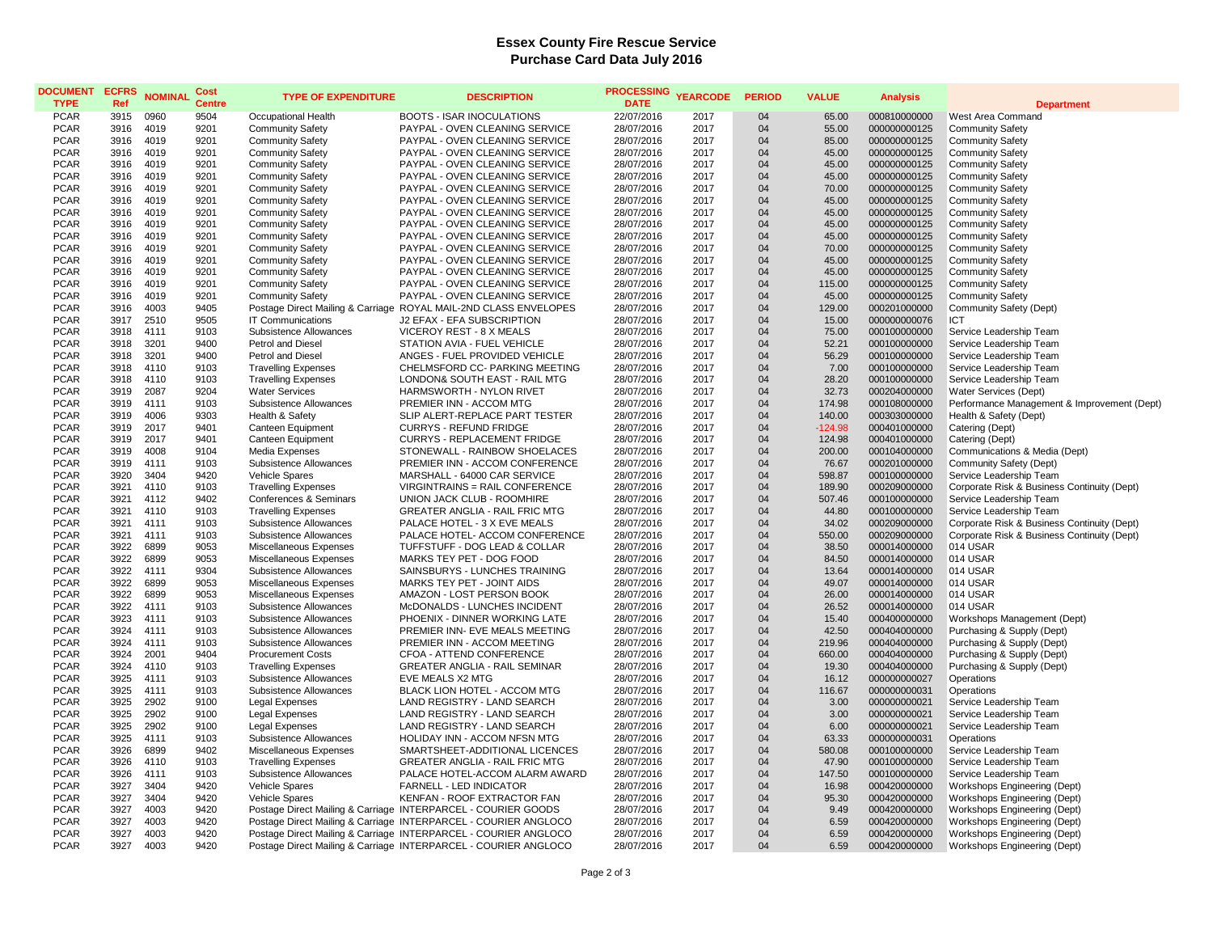## **Essex County Fire Rescue Service Purchase Card Data July 2016**

| <b>DOCUMENT</b><br><b>TYPE</b> | <b>ECFRS</b><br>Ref | <b>NOMINAL</b> | Cost<br><b>Centre</b> | <b>TYPE OF EXPENDITURE</b>                         | <b>DESCRIPTION</b>                                                                                                                 | <b>PROCESSING</b><br><b>DATE</b> | <b>YEARCODE</b> | <b>PERIOD</b> | <b>VALUE</b>    | <b>Analysis</b>              | <b>Department</b>                                  |
|--------------------------------|---------------------|----------------|-----------------------|----------------------------------------------------|------------------------------------------------------------------------------------------------------------------------------------|----------------------------------|-----------------|---------------|-----------------|------------------------------|----------------------------------------------------|
| <b>PCAR</b>                    | 3915                | 0960           | 9504                  | Occupational Health                                | <b>BOOTS - ISAR INOCULATIONS</b>                                                                                                   | 22/07/2016                       | 2017            | 04            | 65.00           | 000810000000                 | West Area Command                                  |
| <b>PCAR</b>                    | 3916                | 4019           | 9201                  | <b>Community Safety</b>                            | PAYPAL - OVEN CLEANING SERVICE                                                                                                     | 28/07/2016                       | 2017            | 04            | 55.00           | 000000000125                 | <b>Community Safety</b>                            |
| <b>PCAR</b>                    | 3916                | 4019           | 9201                  | <b>Community Safety</b>                            | PAYPAL - OVEN CLEANING SERVICE                                                                                                     | 28/07/2016                       | 2017            | 04            | 85.00           | 000000000125                 | <b>Community Safety</b>                            |
| <b>PCAR</b>                    | 3916                | 4019           | 9201                  | <b>Community Safety</b>                            | PAYPAL - OVEN CLEANING SERVICE                                                                                                     | 28/07/2016                       | 2017            | 04            | 45.00           | 000000000125                 | <b>Community Safety</b>                            |
| <b>PCAR</b>                    | 3916                | 4019           | 9201                  | <b>Community Safety</b>                            | PAYPAL - OVEN CLEANING SERVICE                                                                                                     | 28/07/2016                       | 2017            | 04            | 45.00           | 000000000125                 | <b>Community Safety</b>                            |
| <b>PCAR</b>                    | 3916                | 4019           | 9201                  | <b>Community Safety</b>                            | PAYPAL - OVEN CLEANING SERVICE                                                                                                     | 28/07/2016                       | 2017            | 04            | 45.00           | 000000000125                 | <b>Community Safety</b>                            |
| <b>PCAR</b>                    | 3916                | 4019           | 9201                  | <b>Community Safety</b>                            | PAYPAL - OVEN CLEANING SERVICE                                                                                                     | 28/07/2016                       | 2017            | 04            | 70.00           | 000000000125                 | <b>Community Safety</b>                            |
| <b>PCAR</b>                    | 3916                | 4019           | 9201                  | <b>Community Safety</b>                            | PAYPAL - OVEN CLEANING SERVICE                                                                                                     | 28/07/2016                       | 2017            | 04            | 45.00           | 000000000125                 | <b>Community Safety</b>                            |
| <b>PCAR</b>                    | 3916                | 4019           | 9201                  | <b>Community Safety</b>                            | PAYPAL - OVEN CLEANING SERVICE                                                                                                     | 28/07/2016                       | 2017            | 04            | 45.00           | 000000000125                 | <b>Community Safety</b>                            |
| <b>PCAR</b>                    | 3916                | 4019           | 9201                  | <b>Community Safety</b>                            | PAYPAL - OVEN CLEANING SERVICE                                                                                                     | 28/07/2016                       | 2017            | 04            | 45.00           | 000000000125                 | <b>Community Safety</b>                            |
| <b>PCAR</b>                    | 3916                | 4019           | 9201                  | <b>Community Safety</b>                            | PAYPAL - OVEN CLEANING SERVICE                                                                                                     | 28/07/2016                       | 2017            | 04            | 45.00           | 000000000125                 | <b>Community Safety</b>                            |
| <b>PCAR</b>                    | 3916                | 4019           | 9201                  | <b>Community Safety</b>                            | PAYPAL - OVEN CLEANING SERVICE                                                                                                     | 28/07/2016                       | 2017            | 04            | 70.00           | 000000000125                 | <b>Community Safety</b>                            |
| <b>PCAR</b><br><b>PCAR</b>     | 3916                | 4019<br>4019   | 9201                  | <b>Community Safety</b>                            | PAYPAL - OVEN CLEANING SERVICE                                                                                                     | 28/07/2016                       | 2017<br>2017    | 04            | 45.00           | 000000000125                 | <b>Community Safety</b>                            |
| <b>PCAR</b>                    | 3916<br>3916        | 4019           | 9201<br>9201          | <b>Community Safety</b>                            | PAYPAL - OVEN CLEANING SERVICE                                                                                                     | 28/07/2016                       | 2017            | 04            | 45.00           | 000000000125                 | <b>Community Safety</b>                            |
| <b>PCAR</b>                    | 3916                | 4019           | 9201                  | <b>Community Safety</b><br><b>Community Safety</b> | PAYPAL - OVEN CLEANING SERVICE<br>PAYPAL - OVEN CLEANING SERVICE                                                                   | 28/07/2016<br>28/07/2016         | 2017            | 04<br>04      | 115.00<br>45.00 | 000000000125<br>000000000125 | <b>Community Safety</b><br><b>Community Safety</b> |
| <b>PCAR</b>                    | 3916                | 4003           | 9405                  |                                                    | Postage Direct Mailing & Carriage ROYAL MAIL-2ND CLASS ENVELOPES                                                                   | 28/07/2016                       | 2017            | 04            | 129.00          | 000201000000                 | Community Safety (Dept)                            |
| <b>PCAR</b>                    | 3917                | 2510           | 9505                  | <b>IT Communications</b>                           | J2 EFAX - EFA SUBSCRIPTION                                                                                                         | 28/07/2016                       | 2017            | 04            | 15.00           | 000000000076                 | ICT                                                |
| <b>PCAR</b>                    | 3918                | 4111           | 9103                  | Subsistence Allowances                             | VICEROY REST - 8 X MEALS                                                                                                           | 28/07/2016                       | 2017            | 04            | 75.00           | 000100000000                 | Service Leadership Team                            |
| <b>PCAR</b>                    | 3918                | 3201           | 9400                  | Petrol and Diesel                                  | STATION AVIA - FUEL VEHICLE                                                                                                        | 28/07/2016                       | 2017            | 04            | 52.21           | 000100000000                 | Service Leadership Team                            |
| <b>PCAR</b>                    | 3918                | 3201           | 9400                  | Petrol and Diesel                                  | ANGES - FUEL PROVIDED VEHICLE                                                                                                      | 28/07/2016                       | 2017            | 04            | 56.29           | 000100000000                 | Service Leadership Team                            |
| <b>PCAR</b>                    | 3918                | 4110           | 9103                  | <b>Travelling Expenses</b>                         | CHELMSFORD CC- PARKING MEETING                                                                                                     | 28/07/2016                       | 2017            | 04            | 7.00            | 000100000000                 | Service Leadership Team                            |
| <b>PCAR</b>                    | 3918                | 4110           | 9103                  | <b>Travelling Expenses</b>                         | LONDON& SOUTH EAST - RAIL MTG                                                                                                      | 28/07/2016                       | 2017            | 04            | 28.20           | 000100000000                 | Service Leadership Team                            |
| <b>PCAR</b>                    | 3919                | 2087           | 9204                  | <b>Water Services</b>                              | HARMSWORTH - NYLON RIVET                                                                                                           | 28/07/2016                       | 2017            | 04            | 32.73           | 000204000000                 | Water Services (Dept)                              |
| <b>PCAR</b>                    | 3919                | 4111           | 9103                  | Subsistence Allowances                             | PREMIER INN - ACCOM MTG                                                                                                            | 28/07/2016                       | 2017            | 04            | 174.98          | 000108000000                 | Performance Management & Improvement (Dept)        |
| <b>PCAR</b>                    | 3919                | 4006           | 9303                  | Health & Safety                                    | SLIP ALERT-REPLACE PART TESTER                                                                                                     | 28/07/2016                       | 2017            | 04            | 140.00          | 000303000000                 | Health & Safety (Dept)                             |
| <b>PCAR</b>                    | 3919                | 2017           | 9401                  | Canteen Equipment                                  | <b>CURRYS - REFUND FRIDGE</b>                                                                                                      | 28/07/2016                       | 2017            | 04            | $-124.98$       | 000401000000                 | Catering (Dept)                                    |
| <b>PCAR</b>                    | 3919                | 2017           | 9401                  | Canteen Equipment                                  | CURRYS - REPLACEMENT FRIDGE                                                                                                        | 28/07/2016                       | 2017            | 04            | 124.98          | 000401000000                 | Catering (Dept)                                    |
| <b>PCAR</b>                    | 3919                | 4008           | 9104                  | Media Expenses                                     | STONEWALL - RAINBOW SHOELACES                                                                                                      | 28/07/2016                       | 2017            | 04            | 200.00          | 000104000000                 | Communications & Media (Dept)                      |
| <b>PCAR</b>                    | 3919                | 4111           | 9103                  | Subsistence Allowances                             | PREMIER INN - ACCOM CONFERENCE                                                                                                     | 28/07/2016                       | 2017            | 04            | 76.67           | 000201000000                 | Community Safety (Dept)                            |
| <b>PCAR</b>                    | 3920                | 3404           | 9420                  | <b>Vehicle Spares</b>                              | MARSHALL - 64000 CAR SERVICE                                                                                                       | 28/07/2016                       | 2017            | 04            | 598.87          | 000100000000                 | Service Leadership Team                            |
| <b>PCAR</b>                    | 3921                | 4110           | 9103                  | <b>Travelling Expenses</b>                         | <b>VIRGINTRAINS = RAIL CONFERENCE</b>                                                                                              | 28/07/2016                       | 2017            | 04            | 189.90          | 000209000000                 | Corporate Risk & Business Continuity (Dept)        |
| <b>PCAR</b>                    | 3921                | 4112           | 9402                  | Conferences & Seminars                             | UNION JACK CLUB - ROOMHIRE                                                                                                         | 28/07/2016                       | 2017            | 04            | 507.46          | 000100000000                 | Service Leadership Team                            |
| <b>PCAR</b>                    | 3921                | 4110           | 9103                  | <b>Travelling Expenses</b>                         | GREATER ANGLIA - RAIL FRIC MTG                                                                                                     | 28/07/2016                       | 2017            | 04            | 44.80           | 000100000000                 | Service Leadership Team                            |
| <b>PCAR</b>                    | 3921                | 4111           | 9103                  | Subsistence Allowances                             | PALACE HOTEL - 3 X EVE MEALS                                                                                                       | 28/07/2016                       | 2017            | 04            | 34.02           | 000209000000                 | Corporate Risk & Business Continuity (Dept)        |
| <b>PCAR</b>                    | 3921                | 4111           | 9103                  | Subsistence Allowances                             | PALACE HOTEL- ACCOM CONFERENCE                                                                                                     | 28/07/2016                       | 2017            | 04            | 550.00          | 000209000000                 | Corporate Risk & Business Continuity (Dept)        |
| <b>PCAR</b>                    | 3922                | 6899           | 9053                  | Miscellaneous Expenses                             | TUFFSTUFF - DOG LEAD & COLLAR                                                                                                      | 28/07/2016                       | 2017            | 04            | 38.50           | 000014000000                 | 014 USAR                                           |
| <b>PCAR</b><br><b>PCAR</b>     | 3922<br>3922        | 6899<br>4111   | 9053<br>9304          | Miscellaneous Expenses                             | MARKS TEY PET - DOG FOOD<br>SAINSBURYS - LUNCHES TRAINING                                                                          | 28/07/2016                       | 2017<br>2017    | 04            | 84.50<br>13.64  | 000014000000                 | 014 USAR<br>014 USAR                               |
| <b>PCAR</b>                    | 3922                | 6899           | 9053                  | Subsistence Allowances<br>Miscellaneous Expenses   | MARKS TEY PET - JOINT AIDS                                                                                                         | 28/07/2016<br>28/07/2016         | 2017            | 04<br>04      | 49.07           | 000014000000<br>000014000000 | 014 USAR                                           |
| <b>PCAR</b>                    | 3922                | 6899           | 9053                  | Miscellaneous Expenses                             | AMAZON - LOST PERSON BOOK                                                                                                          | 28/07/2016                       | 2017            | 04            | 26.00           | 000014000000                 | 014 USAR                                           |
| <b>PCAR</b>                    | 3922                | 4111           | 9103                  | Subsistence Allowances                             | McDONALDS - LUNCHES INCIDENT                                                                                                       | 28/07/2016                       | 2017            | 04            | 26.52           | 000014000000                 | 014 USAR                                           |
| <b>PCAR</b>                    | 3923                | 4111           | 9103                  | Subsistence Allowances                             | PHOENIX - DINNER WORKING LATE                                                                                                      | 28/07/2016                       | 2017            | 04            | 15.40           | 000400000000                 | Workshops Management (Dept)                        |
| <b>PCAR</b>                    | 3924                | 4111           | 9103                  | Subsistence Allowances                             | PREMIER INN- EVE MEALS MEETING                                                                                                     | 28/07/2016                       | 2017            | 04            | 42.50           | 000404000000                 | Purchasing & Supply (Dept)                         |
| <b>PCAR</b>                    | 3924                | 4111           | 9103                  | Subsistence Allowances                             | PREMIER INN - ACCOM MEETING                                                                                                        | 28/07/2016                       | 2017            | 04            | 219.96          | 000404000000                 | Purchasing & Supply (Dept)                         |
| <b>PCAR</b>                    | 3924                | 2001           | 9404                  | <b>Procurement Costs</b>                           | CFOA - ATTEND CONFERENCE                                                                                                           | 28/07/2016                       | 2017            | 04            | 660.00          | 000404000000                 | Purchasing & Supply (Dept)                         |
| <b>PCAR</b>                    | 3924                | 4110           | 9103                  | <b>Travelling Expenses</b>                         | <b>GREATER ANGLIA - RAIL SEMINAR</b>                                                                                               | 28/07/2016                       | 2017            | 04            | 19.30           | 000404000000                 | Purchasing & Supply (Dept)                         |
| <b>PCAR</b>                    | 3925                | 4111           | 9103                  | Subsistence Allowances                             | EVE MEALS X2 MTG                                                                                                                   | 28/07/2016                       | 2017            | 04            | 16.12           | 000000000027                 | Operations                                         |
| <b>PCAR</b>                    | 3925                | 4111           | 9103                  | Subsistence Allowances                             | BLACK LION HOTEL - ACCOM MTG                                                                                                       | 28/07/2016                       | 2017            | 04            | 116.67          | 000000000031                 | Operations                                         |
| <b>PCAR</b>                    | 3925                | 2902           | 9100                  | <b>Legal Expenses</b>                              | LAND REGISTRY - LAND SEARCH                                                                                                        | 28/07/2016                       | 2017            | 04            | 3.00            | 000000000021                 | Service Leadership Team                            |
| <b>PCAR</b>                    | 3925                | 2902           | 9100                  | <b>Legal Expenses</b>                              | LAND REGISTRY - LAND SEARCH                                                                                                        | 28/07/2016                       | 2017            | 04            | 3.00            | 000000000021                 | Service Leadership Team                            |
| <b>PCAR</b>                    | 3925                | 2902           | 9100                  | <b>Legal Expenses</b>                              | LAND REGISTRY - LAND SEARCH                                                                                                        | 28/07/2016                       | 2017            | 04            | 6.00            | 000000000021                 | Service Leadership Team                            |
| <b>PCAR</b>                    | 3925                | 4111           | 9103                  | Subsistence Allowances                             | HOLIDAY INN - ACCOM NFSN MTG                                                                                                       | 28/07/2016                       | 2017            | 04            | 63.33           | 000000000031                 | Operations                                         |
| <b>PCAR</b>                    | 3926                | 6899           | 9402                  | Miscellaneous Expenses                             | SMARTSHEET-ADDITIONAL LICENCES                                                                                                     | 28/07/2016                       | 2017            | 04            | 580.08          | 000100000000                 | Service Leadership Team                            |
| <b>PCAR</b>                    | 3926                | 4110           | 9103                  | <b>Travelling Expenses</b>                         | <b>GREATER ANGLIA - RAIL FRIC MTG</b>                                                                                              | 28/07/2016                       | 2017            | 04            | 47.90           | 000100000000                 | Service Leadership Team                            |
| <b>PCAR</b>                    | 3926                | 4111           | 9103                  | Subsistence Allowances                             | PALACE HOTEL-ACCOM ALARM AWARD                                                                                                     | 28/07/2016                       | 2017            | 04            | 147.50          | 000100000000                 | Service Leadership Team                            |
| <b>PCAR</b>                    | 3927                | 3404           | 9420                  | Vehicle Spares                                     | FARNELL - LED INDICATOR                                                                                                            | 28/07/2016                       | 2017            | 04            | 16.98           | 000420000000                 | Workshops Engineering (Dept)                       |
| <b>PCAR</b>                    | 3927                | 3404           | 9420                  | <b>Vehicle Spares</b>                              | KENFAN - ROOF EXTRACTOR FAN                                                                                                        | 28/07/2016                       | 2017            | 04            | 95.30           | 000420000000                 | Workshops Engineering (Dept)                       |
| <b>PCAR</b>                    | 3927                | 4003           | 9420                  |                                                    | Postage Direct Mailing & Carriage INTERPARCEL - COURIER GOODS                                                                      | 28/07/2016                       | 2017            | 04            | 9.49            | 000420000000                 | Workshops Engineering (Dept)                       |
| <b>PCAR</b>                    | 3927                | 4003           | 9420                  |                                                    | Postage Direct Mailing & Carriage INTERPARCEL - COURIER ANGLOCO                                                                    | 28/07/2016                       | 2017            | 04<br>04      | 6.59            | 000420000000                 | Workshops Engineering (Dept)                       |
| <b>PCAR</b><br><b>PCAR</b>     | 3927<br>3927        | 4003<br>4003   | 9420<br>9420          |                                                    | Postage Direct Mailing & Carriage INTERPARCEL - COURIER ANGLOCO<br>Postage Direct Mailing & Carriage INTERPARCEL - COURIER ANGLOCO | 28/07/2016<br>28/07/2016         | 2017<br>2017    | 04            | 6.59<br>6.59    | 000420000000<br>000420000000 | Workshops Engineering (Dept)                       |
|                                |                     |                |                       |                                                    |                                                                                                                                    |                                  |                 |               |                 |                              | Workshops Engineering (Dept)                       |